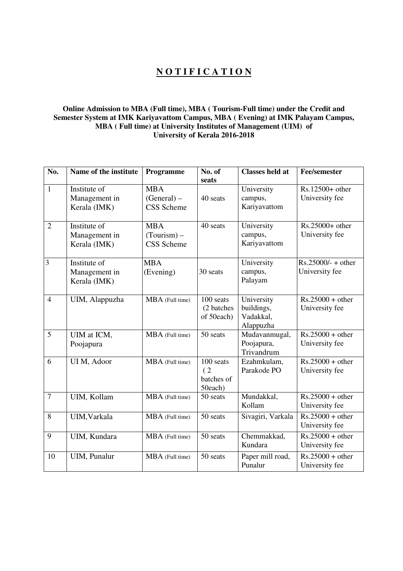## **N O T I F I C A T I O N**

## **Online Admission to MBA (Full time), MBA ( Tourism-Full time) under the Credit and Semester System at IMK Kariyavattom Campus, MBA ( Evening) at IMK Palayam Campus, MBA ( Full time) at University Institutes of Management (UIM) of University of Kerala 2016-2018**

| No.            | Name of the institute | Programme         | No. of      | <b>Classes held at</b> | <b>Fee/semester</b>  |
|----------------|-----------------------|-------------------|-------------|------------------------|----------------------|
|                |                       |                   | seats       |                        |                      |
| $\mathbf{1}$   | Institute of          | <b>MBA</b>        |             | University             | Rs.12500+ other      |
|                | Management in         | $(General)$ –     | 40 seats    | campus,                | University fee       |
|                | Kerala (IMK)          | <b>CSS</b> Scheme |             | Kariyavattom           |                      |
| $\overline{2}$ | Institute of          | <b>MBA</b>        | 40 seats    | University             | $Rs.25000+other$     |
|                | Management in         | $(Tourism)$ –     |             | campus,                | University fee       |
|                | Kerala (IMK)          | <b>CSS</b> Scheme |             | Kariyavattom           |                      |
|                |                       |                   |             |                        |                      |
| $\overline{3}$ | Institute of          | <b>MBA</b>        |             | University             | $Rs.25000/- + other$ |
|                | Management in         | (Evening)         | 30 seats    | campus,                | University fee       |
|                | Kerala (IMK)          |                   |             | Palayam                |                      |
| $\overline{4}$ | UIM, Alappuzha        | MBA (Full time)   | 100 seats   | University             | $Rs.25000 + other$   |
|                |                       |                   | (2 batches) | buildings,             | University fee       |
|                |                       |                   | of 50each)  | Vadakkal,              |                      |
|                |                       |                   |             | Alappuzha              |                      |
| 5              | UIM at ICM,           | MBA (Full time)   | 50 seats    | Mudavanmugal,          | $Rs.25000 + other$   |
|                | Poojapura             |                   |             | Poojapura,             | University fee       |
|                |                       |                   |             | Trivandrum             |                      |
| 6              | UI M, Adoor           | MBA (Full time)   | 100 seats   | Ezahmkulam,            | $Rs.25000 + other$   |
|                |                       |                   | (2)         | Parakode PO            | University fee       |
|                |                       |                   | batches of  |                        |                      |
|                |                       |                   | 50each)     |                        |                      |
| $\overline{7}$ | UIM, Kollam           | MBA (Full time)   | 50 seats    | Mundakkal,             | $Rs.25000 + other$   |
|                |                       |                   |             | Kollam                 | University fee       |
| 8              | UIM, Varkala          | MBA (Full time)   | 50 seats    | Sivagiri, Varkala      | $Rs.25000 + other$   |
|                |                       |                   |             |                        | University fee       |
| 9              | UIM, Kundara          | MBA (Full time)   | 50 seats    | Chemmakkad,            | $Rs.25000 + other$   |
|                |                       |                   |             | Kundara                | University fee       |
| 10             | UIM, Punalur          | MBA (Full time)   | 50 seats    | Paper mill road,       | $Rs.25000 + other$   |
|                |                       |                   |             | Punalur                | University fee       |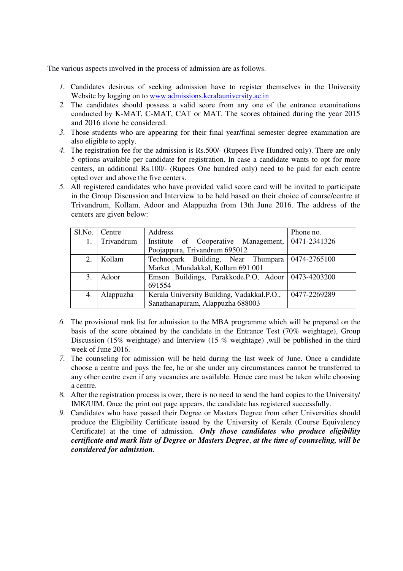The various aspects involved in the process of admission are as follows.

- *1.* Candidates desirous of seeking admission have to register themselves in the University Website by logging on to www.admissions.keralauniversity.ac.in
- *2.* The candidates should possess a valid score from any one of the entrance examinations conducted by K-MAT, C-MAT, CAT or MAT. The scores obtained during the year 2015 and 2016 alone be considered.
- *3.* Those students who are appearing for their final year/final semester degree examination are also eligible to apply.
- *4.* The registration fee for the admission is Rs.500/- (Rupees Five Hundred only). There are only 5 options available per candidate for registration. In case a candidate wants to opt for more centers, an additional Rs.100/- (Rupees One hundred only) need to be paid for each centre opted over and above the five centers.
- *5.* All registered candidates who have provided valid score card will be invited to participate in the Group Discussion and Interview to be held based on their choice of course/centre at Trivandrum, Kollam, Adoor and Alappuzha from 13th June 2016. The address of the centers are given below:

| Sl.No. | Centre     | Address                                              | Phone no.         |
|--------|------------|------------------------------------------------------|-------------------|
|        | Trivandrum | Institute of Cooperative Management, 0471-2341326    |                   |
|        |            | Poojappura, Trivandrum 695012                        |                   |
| 2.     | Kollam     | Technopark Building, Near Thumpara                   | $ 0474 - 2765100$ |
|        |            | Market, Mundakkal, Kollam 691 001                    |                   |
| 3.     | Adoor      | Emson Buildings, Parakkode.P.O, Adoor   0473-4203200 |                   |
|        |            | 691554                                               |                   |
| 4.     | Alappuzha  | Kerala University Building, Vadakkal.P.O.,           | 0477-2269289      |
|        |            | Sanathanapuram, Alappuzha 688003                     |                   |

- *6.* The provisional rank list for admission to the MBA programme which will be prepared on the basis of the score obtained by the candidate in the Entrance Test (70% weightage), Group Discussion (15% weightage) and Interview (15% weightage), will be published in the third week of June 2016.
- *7.* The counseling for admission will be held during the last week of June. Once a candidate choose a centre and pays the fee, he or she under any circumstances cannot be transferred to any other centre even if any vacancies are available. Hence care must be taken while choosing a centre.
- *8.* After the registration process is over, there is no need to send the hard copies to the University/ IMK/UIM. Once the print out page appears, the candidate has registered successfully.
- *9.* Candidates who have passed their Degree or Masters Degree from other Universities should produce the Eligibility Certificate issued by the University of Kerala (Course Equivalency Certificate) at the time of admission. *Only those candidates who produce eligibility certificate and mark lists of Degree or Masters Degree*, *at the time of counseling, will be considered for admission.*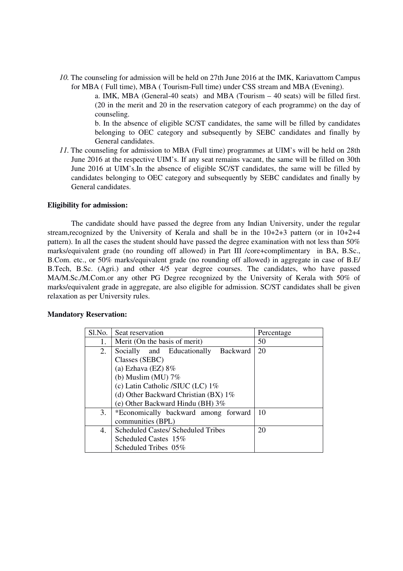*10.* The counseling for admission will be held on 27th June 2016 at the IMK, Kariavattom Campus for MBA ( Full time), MBA ( Tourism-Full time) under CSS stream and MBA (Evening).

> a. IMK, MBA (General-40 seats) and MBA (Tourism – 40 seats) will be filled first. (20 in the merit and 20 in the reservation category of each programme) on the day of counseling.

> b. In the absence of eligible SC/ST candidates, the same will be filled by candidates belonging to OEC category and subsequently by SEBC candidates and finally by General candidates.

*11.* The counseling for admission to MBA (Full time) programmes at UIM's will be held on 28th June 2016 at the respective UIM's. If any seat remains vacant, the same will be filled on 30th June 2016 at UIM's.In the absence of eligible SC/ST candidates, the same will be filled by candidates belonging to OEC category and subsequently by SEBC candidates and finally by General candidates.

#### **Eligibility for admission:**

The candidate should have passed the degree from any Indian University, under the regular stream,recognized by the University of Kerala and shall be in the 10+2+3 pattern (or in 10+2+4 pattern). In all the cases the student should have passed the degree examination with not less than 50% marks/equivalent grade (no rounding off allowed) in Part III /core+complimentary in BA, B.Sc., B.Com. etc., or 50% marks/equivalent grade (no rounding off allowed) in aggregate in case of B.E/ B.Tech, B.Sc. (Agri.) and other 4/5 year degree courses. The candidates, who have passed MA/M.Sc./M.Com.or any other PG Degree recognized by the University of Kerala with 50% of marks/equivalent grade in aggregate, are also eligible for admission. SC/ST candidates shall be given relaxation as per University rules.

#### **Mandatory Reservation:**

| S1.No. | Seat reservation                              | Percentage |
|--------|-----------------------------------------------|------------|
| 1.     | Merit (On the basis of merit)                 | 50         |
| 2.     | Socially and Educationally<br><b>Backward</b> | 20         |
|        | Classes (SEBC)                                |            |
|        | (a) Ezhava (EZ) $8\%$                         |            |
|        | (b) Muslim (MU) $7\%$                         |            |
|        | (c) Latin Catholic /SIUC (LC) 1%              |            |
|        | (d) Other Backward Christian (BX) $1\%$       |            |
|        | (e) Other Backward Hindu (BH) $3\%$           |            |
| 3.     | *Economically backward among forward          | 10         |
|        | communities (BPL)                             |            |
| 4.     | <b>Scheduled Castes/ Scheduled Tribes</b>     | 20         |
|        | Scheduled Castes 15%                          |            |
|        | Scheduled Tribes 05%                          |            |